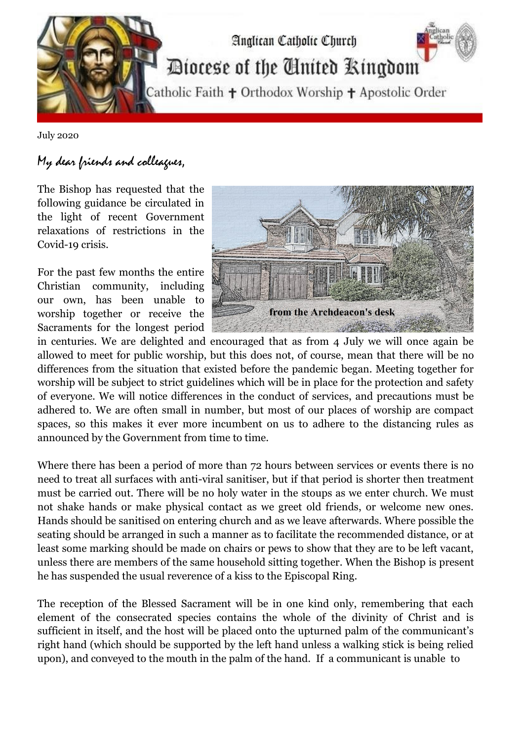

July 2020

## My dear friends and colleagues,

The Bishop has requested that the following guidance be circulated in the light of recent Government relaxations of restrictions in the Covid-19 crisis.

For the past few months the entire Christian community, including our own, has been unable to worship together or receive the Sacraments for the longest period



in centuries. We are delighted and encouraged that as from 4 July we will once again be allowed to meet for public worship, but this does not, of course, mean that there will be no differences from the situation that existed before the pandemic began. Meeting together for worship will be subject to strict guidelines which will be in place for the protection and safety of everyone. We will notice differences in the conduct of services, and precautions must be adhered to. We are often small in number, but most of our places of worship are compact spaces, so this makes it ever more incumbent on us to adhere to the distancing rules as announced by the Government from time to time.

Where there has been a period of more than 72 hours between services or events there is no need to treat all surfaces with anti-viral sanitiser, but if that period is shorter then treatment must be carried out. There will be no holy water in the stoups as we enter church. We must not shake hands or make physical contact as we greet old friends, or welcome new ones. Hands should be sanitised on entering church and as we leave afterwards. Where possible the seating should be arranged in such a manner as to facilitate the recommended distance, or at least some marking should be made on chairs or pews to show that they are to be left vacant, unless there are members of the same household sitting together. When the Bishop is present he has suspended the usual reverence of a kiss to the Episcopal Ring.

The reception of the Blessed Sacrament will be in one kind only, remembering that each element of the consecrated species contains the whole of the divinity of Christ and is sufficient in itself, and the host will be placed onto the upturned palm of the communicant's right hand (which should be supported by the left hand unless a walking stick is being relied upon), and conveyed to the mouth in the palm of the hand. If a communicant is unable to